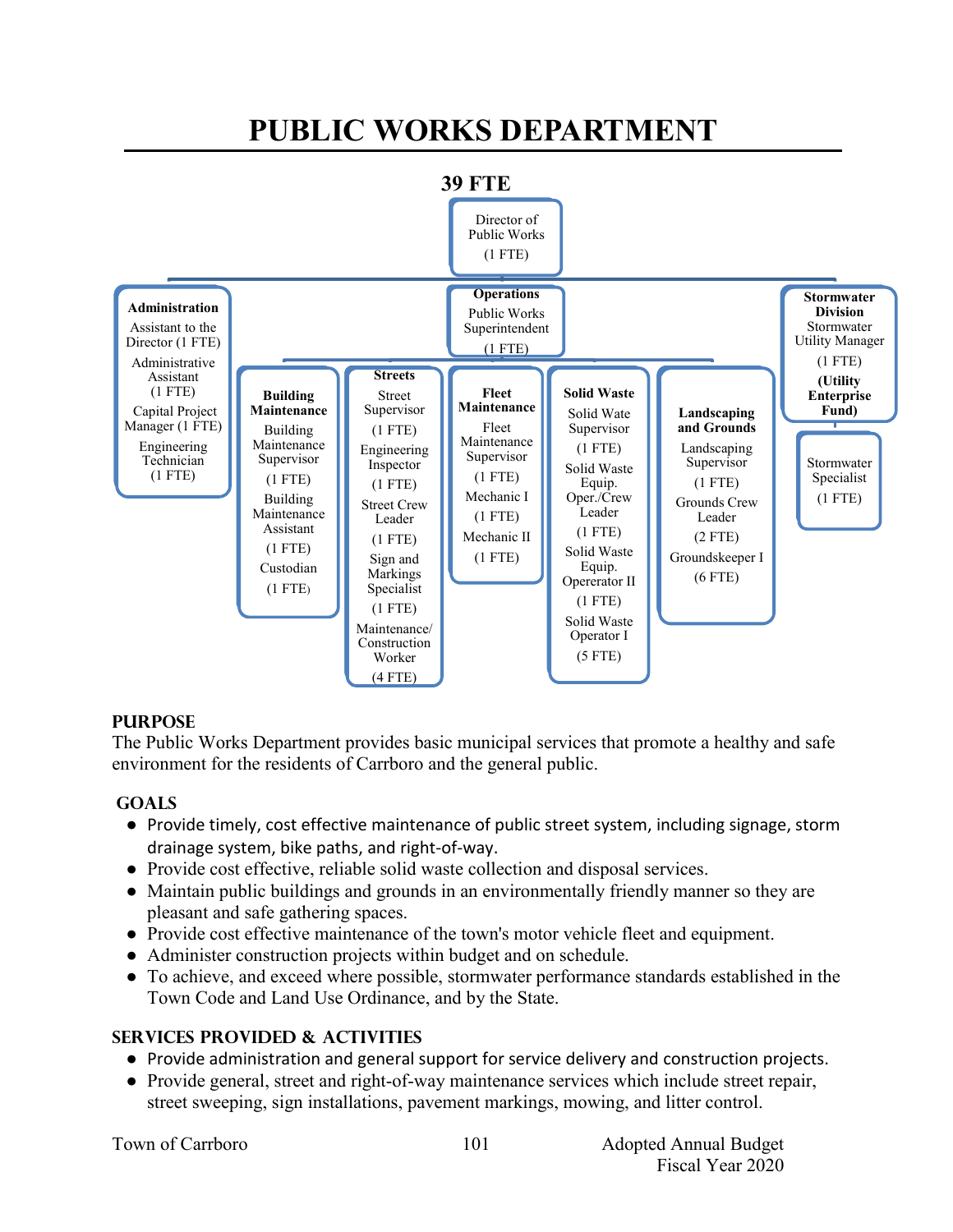# **PUBLIC WORKS DEPARTMENT**



# **PURPOSE**

The Public Works Department provides basic municipal services that promote a healthy and safe environment for the residents of Carrboro and the general public.

# **GOALS**

- Provide timely, cost effective maintenance of public street system, including signage, storm drainage system, bike paths, and right-of-way.
- Provide cost effective, reliable solid waste collection and disposal services.
- Maintain public buildings and grounds in an environmentally friendly manner so they are pleasant and safe gathering spaces.
- Provide cost effective maintenance of the town's motor vehicle fleet and equipment.
- Administer construction projects within budget and on schedule.
- To achieve, and exceed where possible, stormwater performance standards established in the Town Code and Land Use Ordinance, and by the State.

# **Services PROVIDED & ACTIVITIES**

- Provide administration and general support for service delivery and construction projects.
- Provide general, street and right-of-way maintenance services which include street repair, street sweeping, sign installations, pavement markings, mowing, and litter control.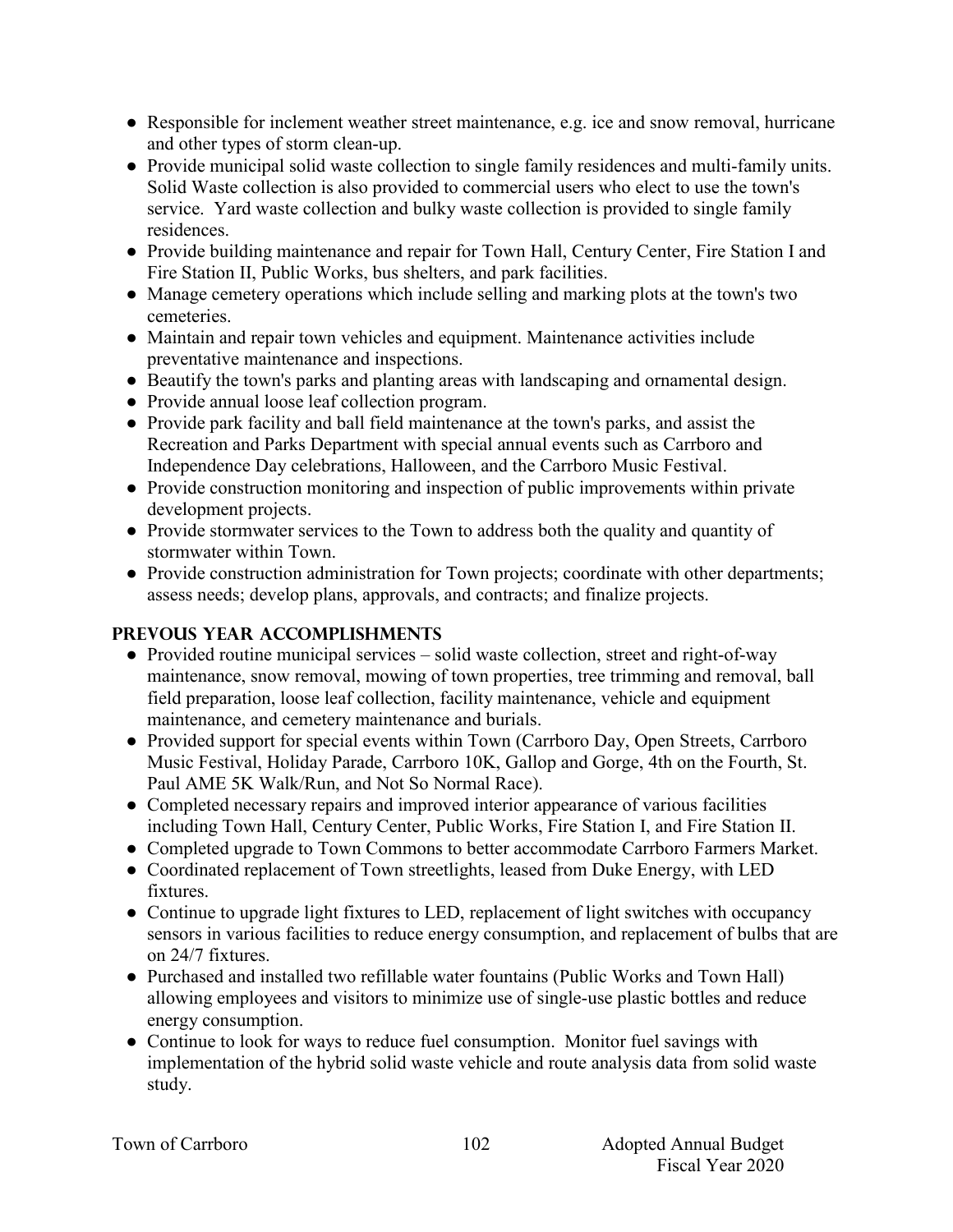- Responsible for inclement weather street maintenance, e.g. ice and snow removal, hurricane and other types of storm clean-up.
- Provide municipal solid waste collection to single family residences and multi-family units. Solid Waste collection is also provided to commercial users who elect to use the town's service. Yard waste collection and bulky waste collection is provided to single family residences.
- Provide building maintenance and repair for Town Hall, Century Center, Fire Station I and Fire Station II, Public Works, bus shelters, and park facilities.
- Manage cemetery operations which include selling and marking plots at the town's two cemeteries.
- Maintain and repair town vehicles and equipment. Maintenance activities include preventative maintenance and inspections.
- Beautify the town's parks and planting areas with landscaping and ornamental design.
- Provide annual loose leaf collection program.
- Provide park facility and ball field maintenance at the town's parks, and assist the Recreation and Parks Department with special annual events such as Carrboro and Independence Day celebrations, Halloween, and the Carrboro Music Festival.
- Provide construction monitoring and inspection of public improvements within private development projects.
- Provide stormwater services to the Town to address both the quality and quantity of stormwater within Town.
- Provide construction administration for Town projects; coordinate with other departments; assess needs; develop plans, approvals, and contracts; and finalize projects.

# **PREVOUS YEAR ACCOMPLISHMENTS**

- Provided routine municipal services solid waste collection, street and right-of-way maintenance, snow removal, mowing of town properties, tree trimming and removal, ball field preparation, loose leaf collection, facility maintenance, vehicle and equipment maintenance, and cemetery maintenance and burials.
- Provided support for special events within Town (Carrboro Day, Open Streets, Carrboro Music Festival, Holiday Parade, Carrboro 10K, Gallop and Gorge, 4th on the Fourth, St. Paul AME 5K Walk/Run, and Not So Normal Race).
- Completed necessary repairs and improved interior appearance of various facilities including Town Hall, Century Center, Public Works, Fire Station I, and Fire Station II.
- Completed upgrade to Town Commons to better accommodate Carrboro Farmers Market.
- Coordinated replacement of Town streetlights, leased from Duke Energy, with LED fixtures.
- Continue to upgrade light fixtures to LED, replacement of light switches with occupancy sensors in various facilities to reduce energy consumption, and replacement of bulbs that are on 24/7 fixtures.
- Purchased and installed two refillable water fountains (Public Works and Town Hall) allowing employees and visitors to minimize use of single-use plastic bottles and reduce energy consumption.
- Continue to look for ways to reduce fuel consumption. Monitor fuel savings with implementation of the hybrid solid waste vehicle and route analysis data from solid waste study.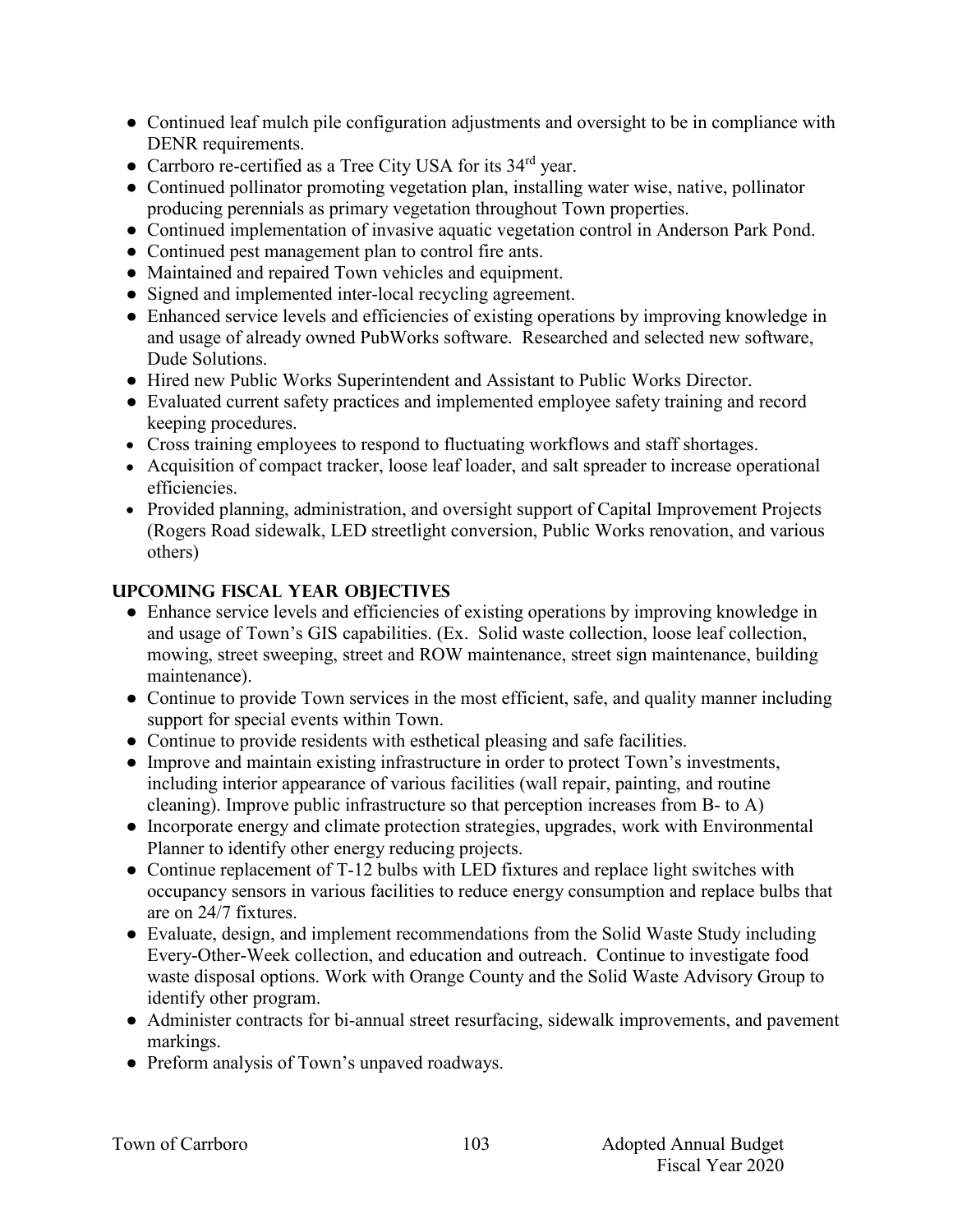- Continued leaf mulch pile configuration adjustments and oversight to be in compliance with DENR requirements.
- Carrboro re-certified as a Tree City USA for its 34<sup>rd</sup> year.
- Continued pollinator promoting vegetation plan, installing water wise, native, pollinator producing perennials as primary vegetation throughout Town properties.
- Continued implementation of invasive aquatic vegetation control in Anderson Park Pond.
- Continued pest management plan to control fire ants.
- Maintained and repaired Town vehicles and equipment.
- Signed and implemented inter-local recycling agreement.
- Enhanced service levels and efficiencies of existing operations by improving knowledge in and usage of already owned PubWorks software. Researched and selected new software, Dude Solutions.
- Hired new Public Works Superintendent and Assistant to Public Works Director.
- Evaluated current safety practices and implemented employee safety training and record keeping procedures.
- Cross training employees to respond to fluctuating workflows and staff shortages.
- Acquisition of compact tracker, loose leaf loader, and salt spreader to increase operational efficiencies.
- Provided planning, administration, and oversight support of Capital Improvement Projects (Rogers Road sidewalk, LED streetlight conversion, Public Works renovation, and various others)

# **UPCOMING FISCAL YEAR OBJECTIVES**

- Enhance service levels and efficiencies of existing operations by improving knowledge in and usage of Town's GIS capabilities. (Ex. Solid waste collection, loose leaf collection, mowing, street sweeping, street and ROW maintenance, street sign maintenance, building maintenance).
- Continue to provide Town services in the most efficient, safe, and quality manner including support for special events within Town.
- Continue to provide residents with esthetical pleasing and safe facilities.
- Improve and maintain existing infrastructure in order to protect Town's investments, including interior appearance of various facilities (wall repair, painting, and routine cleaning). Improve public infrastructure so that perception increases from B- to A)
- Incorporate energy and climate protection strategies, upgrades, work with Environmental Planner to identify other energy reducing projects.
- Continue replacement of T-12 bulbs with LED fixtures and replace light switches with occupancy sensors in various facilities to reduce energy consumption and replace bulbs that are on 24/7 fixtures.
- Evaluate, design, and implement recommendations from the Solid Waste Study including Every-Other-Week collection, and education and outreach. Continue to investigate food waste disposal options. Work with Orange County and the Solid Waste Advisory Group to identify other program.
- Administer contracts for bi-annual street resurfacing, sidewalk improvements, and pavement markings.
- Preform analysis of Town's unpaved roadways.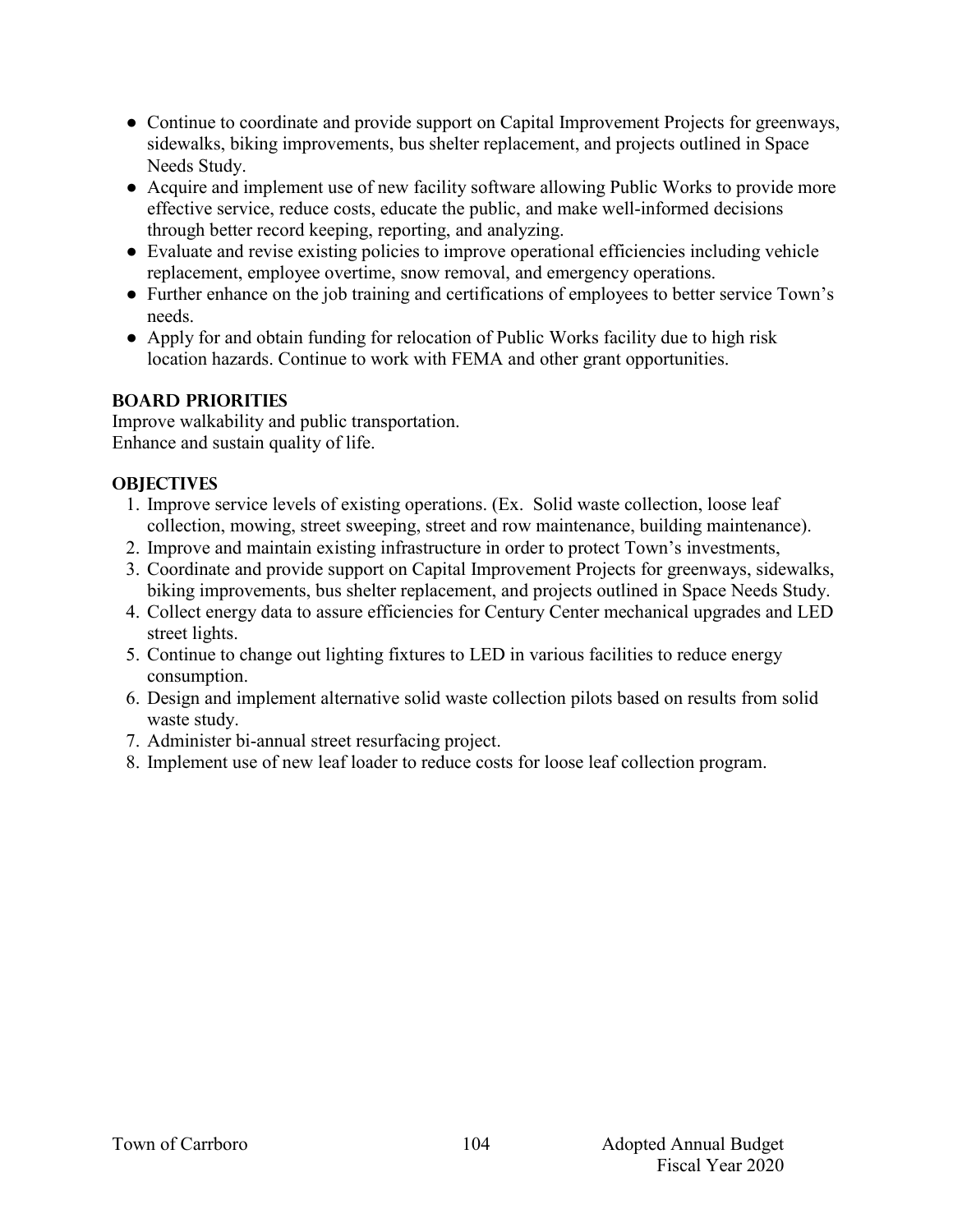- Continue to coordinate and provide support on Capital Improvement Projects for greenways, sidewalks, biking improvements, bus shelter replacement, and projects outlined in Space Needs Study.
- Acquire and implement use of new facility software allowing Public Works to provide more effective service, reduce costs, educate the public, and make well-informed decisions through better record keeping, reporting, and analyzing.
- Evaluate and revise existing policies to improve operational efficiencies including vehicle replacement, employee overtime, snow removal, and emergency operations.
- Further enhance on the job training and certifications of employees to better service Town's needs.
- Apply for and obtain funding for relocation of Public Works facility due to high risk location hazards. Continue to work with FEMA and other grant opportunities.

# **BOARD PRIORITIES**

Improve walkability and public transportation. Enhance and sustain quality of life.

# **OBJECTIVES**

- 1. Improve service levels of existing operations. (Ex. Solid waste collection, loose leaf collection, mowing, street sweeping, street and row maintenance, building maintenance).
- 2. Improve and maintain existing infrastructure in order to protect Town's investments,
- 3. Coordinate and provide support on Capital Improvement Projects for greenways, sidewalks, biking improvements, bus shelter replacement, and projects outlined in Space Needs Study.
- 4. Collect energy data to assure efficiencies for Century Center mechanical upgrades and LED street lights.
- 5. Continue to change out lighting fixtures to LED in various facilities to reduce energy consumption.
- 6. Design and implement alternative solid waste collection pilots based on results from solid waste study.
- 7. Administer bi-annual street resurfacing project.
- 8. Implement use of new leaf loader to reduce costs for loose leaf collection program.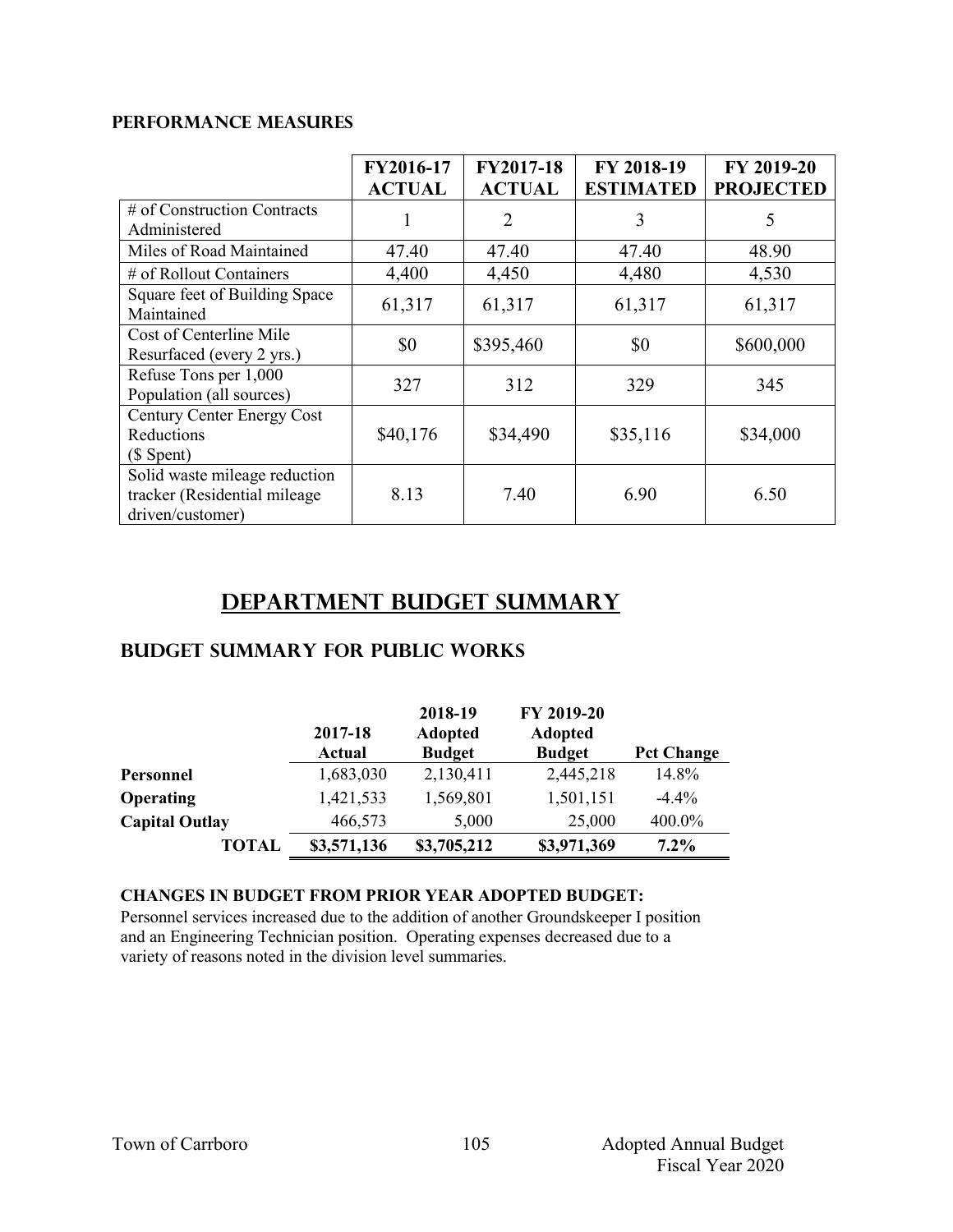## **PERFORMANCE MEASURES**

|                                                                                   | FY2016-17<br><b>ACTUAL</b> | <b>FY2017-18</b><br><b>ACTUAL</b> | FY 2018-19<br><b>ESTIMATED</b> | FY 2019-20<br><b>PROJECTED</b> |
|-----------------------------------------------------------------------------------|----------------------------|-----------------------------------|--------------------------------|--------------------------------|
| # of Construction Contracts<br>Administered                                       |                            | 2                                 | 3                              | 5                              |
| Miles of Road Maintained                                                          | 47.40                      | 47.40                             | 47.40                          | 48.90                          |
| # of Rollout Containers                                                           | 4,400                      | 4,450                             | 4,480                          | 4,530                          |
| Square feet of Building Space<br>Maintained                                       | 61,317                     | 61,317                            | 61,317                         | 61,317                         |
| Cost of Centerline Mile<br>Resurfaced (every 2 yrs.)                              | \$0                        | \$395,460                         | \$0                            | \$600,000                      |
| Refuse Tons per 1,000<br>Population (all sources)                                 | 327                        | 312                               | 329                            | 345                            |
| Century Center Energy Cost<br>Reductions<br>$($$ Spent $)$                        | \$40,176                   | \$34,490                          | \$35,116                       | \$34,000                       |
| Solid waste mileage reduction<br>tracker (Residential mileage<br>driven/customer) | 8.13                       | 7.40                              | 6.90                           | 6.50                           |

# **Department Budget Summary**

# **Budget summary for public works**

|                       | 2017-18<br><b>Actual</b> | 2018-19<br><b>Adopted</b><br><b>Budget</b> | FY 2019-20<br><b>Adopted</b><br><b>Budget</b> | <b>Pct Change</b> |
|-----------------------|--------------------------|--------------------------------------------|-----------------------------------------------|-------------------|
| Personnel             | 1,683,030                | 2,130,411                                  | 2,445,218                                     | 14.8%             |
| <b>Operating</b>      | 1,421,533                | 1,569,801                                  | 1,501,151                                     | $-4.4\%$          |
| <b>Capital Outlay</b> | 466,573                  | 5,000                                      | 25,000                                        | 400.0%            |
| TOTAL                 | \$3,571,136              | \$3,705,212                                | \$3,971,369                                   | $7.2\%$           |

#### **CHANGES IN BUDGET FROM PRIOR YEAR ADOPTED BUDGET:**

Personnel services increased due to the addition of another Groundskeeper I position and an Engineering Technician position. Operating expenses decreased due to a variety of reasons noted in the division level summaries.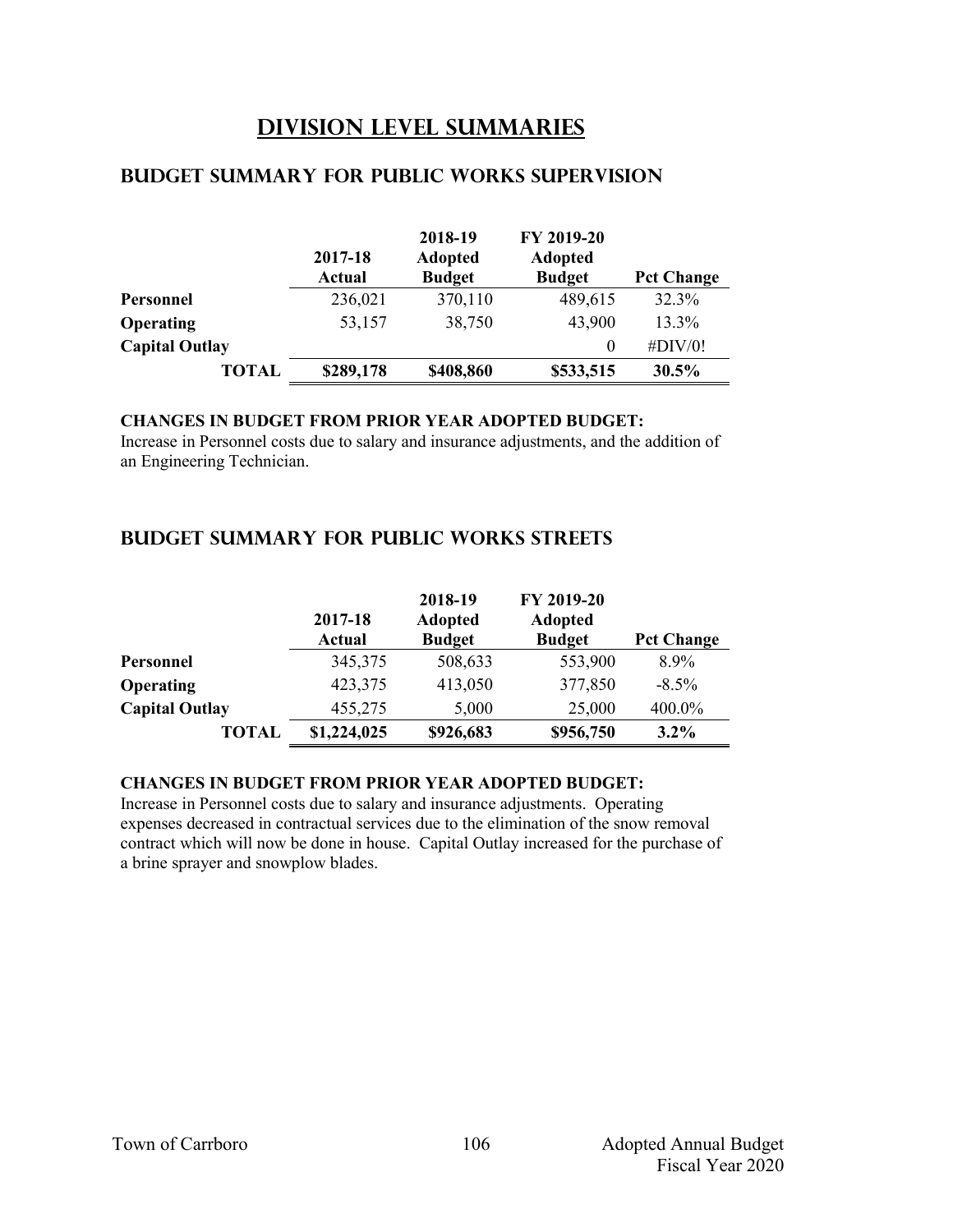# **Division Level Summaries**

|                       | 2017-18<br>Actual | 2018-19<br><b>Adopted</b><br><b>Budget</b> | FY 2019-20<br><b>Adopted</b><br><b>Budget</b> | <b>Pct Change</b> |
|-----------------------|-------------------|--------------------------------------------|-----------------------------------------------|-------------------|
| Personnel             | 236,021           | 370,110                                    | 489,615                                       | 32.3%             |
| <b>Operating</b>      | 53,157            | 38,750                                     | 43,900                                        | 13.3%             |
| <b>Capital Outlay</b> |                   |                                            | 0                                             | #DIV/0!           |
| TOTAL                 | \$289,178         | \$408,860                                  | \$533,515                                     | 30.5%             |

# **Budget summary for public works supervision**

### **CHANGES IN BUDGET FROM PRIOR YEAR ADOPTED BUDGET:**

Increase in Personnel costs due to salary and insurance adjustments, and the addition of an Engineering Technician.

# **Budget summary for public works streets**

|                       | 2017-18<br><b>Actual</b> | 2018-19<br><b>Adopted</b><br><b>Budget</b> | FY 2019-20<br><b>Adopted</b><br><b>Budget</b> | <b>Pct Change</b> |
|-----------------------|--------------------------|--------------------------------------------|-----------------------------------------------|-------------------|
| Personnel             | 345,375                  | 508,633                                    | 553,900                                       | 8.9%              |
| <b>Operating</b>      | 423,375                  | 413,050                                    | 377,850                                       | $-8.5\%$          |
| <b>Capital Outlay</b> | 455,275                  | 5,000                                      | 25,000                                        | 400.0%            |
| <b>TOTAL</b>          | \$1,224,025              | \$926,683                                  | \$956,750                                     | 3.2%              |

#### **CHANGES IN BUDGET FROM PRIOR YEAR ADOPTED BUDGET:**

Increase in Personnel costs due to salary and insurance adjustments. Operating expenses decreased in contractual services due to the elimination of the snow removal contract which will now be done in house. Capital Outlay increased for the purchase of a brine sprayer and snowplow blades.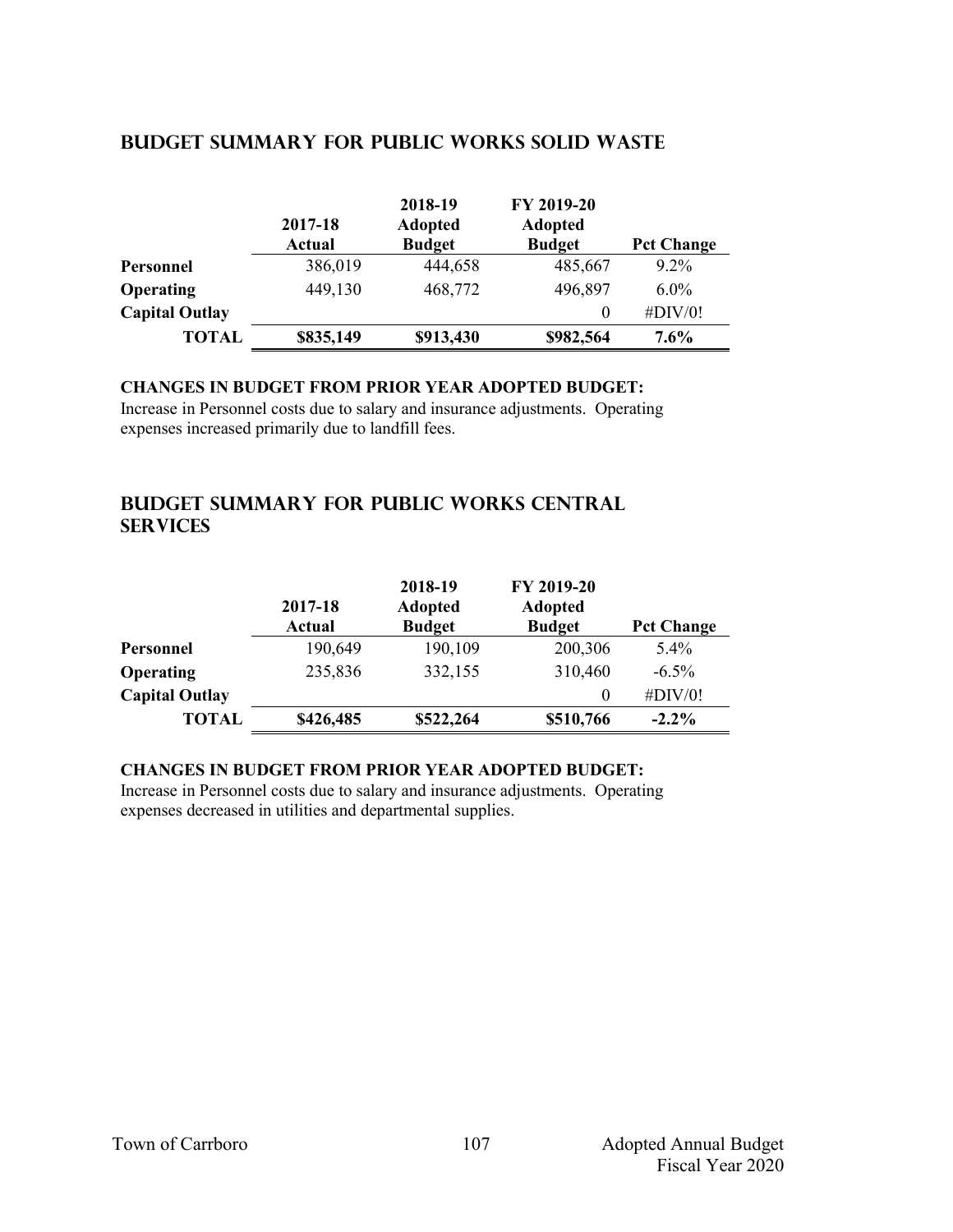#### **2017-18 Actual 2018-19 Adopted Budget FY 2019-20 Adopted Budget Pct Change Personnel** 386,019 444,658 485,667 9.2% **Operating** 449,130 468,772 496,897 6.0% **Capital Outlay** 0 #DIV/0! **TOTAL \$835,149 \$913,430 \$982,564 7.6%**

# **Budget summary for public works solid waste**

## **CHANGES IN BUDGET FROM PRIOR YEAR ADOPTED BUDGET:**

Increase in Personnel costs due to salary and insurance adjustments. Operating expenses increased primarily due to landfill fees.

# **Budget summary for public works central services**

|                       | 2017-18<br>Actual | 2018-19<br><b>Adopted</b><br><b>Budget</b> | FY 2019-20<br><b>Adopted</b><br><b>Budget</b> | <b>Pct Change</b> |
|-----------------------|-------------------|--------------------------------------------|-----------------------------------------------|-------------------|
| Personnel             | 190,649           | 190,109                                    | 200,306                                       | 5.4%              |
| Operating             | 235,836           | 332,155                                    | 310,460                                       | $-6.5\%$          |
| <b>Capital Outlay</b> |                   |                                            | 0                                             | #DIV/0!           |
| <b>TOTAL</b>          | \$426,485         | \$522,264                                  | \$510,766                                     | $-2.2\%$          |

# **CHANGES IN BUDGET FROM PRIOR YEAR ADOPTED BUDGET:**

Increase in Personnel costs due to salary and insurance adjustments. Operating expenses decreased in utilities and departmental supplies.